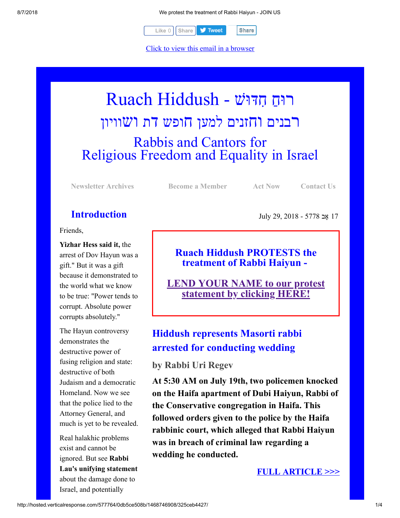8/7/2018 We protest the treatment of Rabbi Haiyun - JOIN US



[Click to view this email in a browser](http://hosted.verticalresponse.com/577764/0db5ce508b/TEST/TEST/)

# רוּחַ חִדּוּשׁ - Ruach Hiddush רבנים וחזנים למען חופש דת ושוויון Rabbis and Cantors for Religious Freedom and Equality in Israel

**[Newsletter Archives](http://cts.vresp.com/c/?FreedomofReligionfor/0db5ce508b/325ceb4427/279913693e) [Become a Member](http://cts.vresp.com/c/?FreedomofReligionfor/0db5ce508b/325ceb4427/91fe6fdcfd) [Act Now](http://cts.vresp.com/c/?FreedomofReligionfor/0db5ce508b/325ceb4427/abfccb1ad9) [Contact Us](http://cts.vresp.com/c/?FreedomofReligionfor/0db5ce508b/325ceb4427/6ef2c57e1d)**

# **Introduction**

Friends,

**Yizhar Hess said it,** the arrest of Dov Hayun was a gift." But it was a gift because it demonstrated to the world what we know to be true: "Power tends to corrupt. Absolute power corrupts absolutely."

The Hayun controversy demonstrates the destructive power of fusing religion and state: destructive of both Judaism and a democratic Homeland. Now we see that the police lied to the Attorney General, and much is yet to be revealed.

Real halakhic problems exist and cannot be ignored. But see **Rabbi Lau's unifying statement** about the damage done to Israel, and potentially

17 ָאב 5778 - 2018 29, July

# **Ruach Hiddush PROTESTS the treatment of Rabbi Haiyun -**

**[LEND YOUR NAME to our protest](http://cts.vresp.com/c/?FreedomofReligionfor/0db5ce508b/325ceb4427/0addb1d4c7) statement by clicking HERE!**

# **Hiddush represents Masorti rabbi arrested for conducting wedding**

**by Rabbi Uri Regev**

**At 5:30 AM on July 19th, two policemen knocked on the Haifa apartment of Dubi Haiyun, Rabbi of the Conservative congregation in Haifa. This followed orders given to the police by the Haifa rabbinic court, which alleged that Rabbi Haiyun was in breach of criminal law regarding a wedding he conducted.**

**[FULL ARTICLE >>>](http://cts.vresp.com/c/?FreedomofReligionfor/0db5ce508b/325ceb4427/7eacf14326)**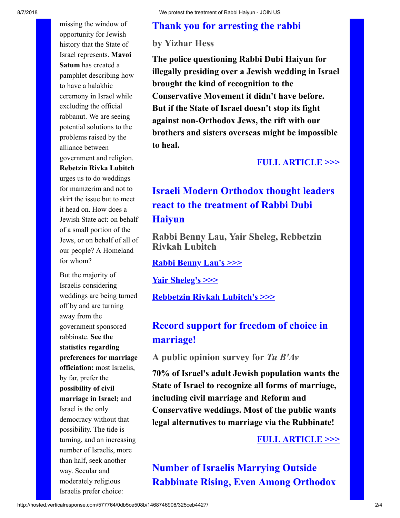# **Thank you for arresting the rabbi**

## **by Yizhar Hess**

**The police questioning Rabbi Dubi Haiyun for illegally presiding over a Jewish wedding in Israel brought the kind of recognition to the Conservative Movement it didn't have before. But if the State of Israel doesn't stop its fight against non-Orthodox Jews, the rift with our brothers and sisters overseas might be impossible to heal.**

#### **[FULL ARTICLE >>>](http://cts.vresp.com/c/?FreedomofReligionfor/0db5ce508b/325ceb4427/c75d50ffdf)**

# **Israeli Modern Orthodox thought leaders react to the treatment of Rabbi Dubi Haiyun**

**Rabbi Benny Lau, Yair Sheleg, Rebbetzin Rivkah Lubitch**

**[Rabbi Benny Lau's >>>](http://cts.vresp.com/c/?FreedomofReligionfor/0db5ce508b/325ceb4427/2d015a0557)**

**[Yair Sheleg's >>>](http://cts.vresp.com/c/?FreedomofReligionfor/0db5ce508b/325ceb4427/50dab69f9d)**

**[Rebbetzin Rivkah Lubitch's >>>](http://cts.vresp.com/c/?FreedomofReligionfor/0db5ce508b/325ceb4427/f32e798f1d)**

# **Record support for freedom of choice in marriage!**

**A public opinion survey for** *Tu B'Av*

**70% of Israel's adult Jewish population wants the State of Israel to recognize all forms of marriage, including civil marriage and Reform and Conservative weddings. Most of the public wants legal alternatives to marriage via the Rabbinate!**

### **[FULL ARTICLE >>>](http://cts.vresp.com/c/?FreedomofReligionfor/0db5ce508b/325ceb4427/4d029140c6)**

**Number of Israelis Marrying Outside Rabbinate Rising, Even Among Orthodox**

pamphlet describing how to have a halakhic ceremony in Israel while excluding the official rabbanut. We are seeing potential solutions to the problems raised by the alliance between government and religion. **Rebetzin Rivka Lubitch** urges us to do weddings for mamzerim and not to skirt the issue but to meet it head on. How does a Jewish State act: on behalf of a small portion of the Jews, or on behalf of all of our people? A Homeland

for whom?

missing the window of opportunity for Jewish history that the State of Israel represents. **Mavoi Satum** has created a

But the majority of Israelis considering weddings are being turned off by and are turning away from the government sponsored rabbinate. **See the statistics regarding preferences for marriage officiation:** most Israelis, by far, prefer the **possibility of civil marriage in Israel;** and Israel is the only democracy without that possibility. The tide is turning, and an increasing number of Israelis, more than half, seek another way. Secular and moderately religious Israelis prefer choice: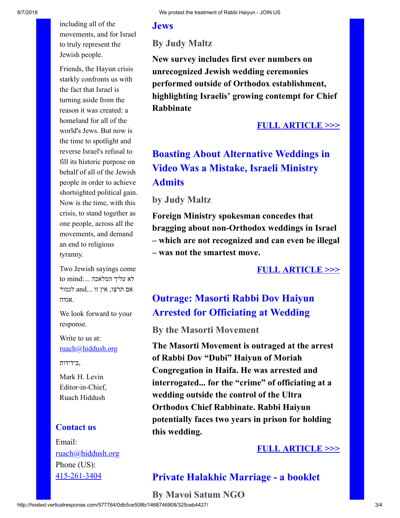including all of the movements, and for Israel to truly represent the Jewish people.

Friends, the Hayun crisis starkly confronts us with the fact that Israel is turning aside from the reason it was created: a homeland for all of the world's Jews. But now is the time to spotlight and reverse Israel's refusal to fill its historic purpose on behalf of all of the Jewish people in order to achieve shortsighted political gain. Now is the time, with this crisis, to stand together as one people, across all the movements, and demand an end to religious tyranny.

Two Jewish sayings come  $t$ לא עליך המלאכה  $\ldots$  to mind to אם תרצו, אין זו ...and לגמור .אגדה

We look forward to your response.

Write to us at: [ruach@hiddush.org](http://cts.vresp.com/c/?FreedomofReligionfor/0db5ce508b/325ceb4427/84d7ec9b9e)

,בידידות

Mark H. Levin Editor-in-Chief, Ruach Hiddush

### **Contact us**

Email: [ruach@hiddush.org](http://cts.vresp.com/c/?FreedomofReligionfor/0db5ce508b/325ceb4427/d5f3bcd9bf) Phone (US): [415-261-3404](http://cts.vresp.com/c/?FreedomofReligionfor/0db5ce508b/325ceb4427/13d88e9697)

## **Jews**

**By Judy Maltz**

**New survey includes first ever numbers on unrecognized Jewish wedding ceremonies performed outside of Orthodox establishment, highlighting Israelis' growing contempt for Chief Rabbinate**

## **[FULL ARTICLE >>>](http://cts.vresp.com/c/?FreedomofReligionfor/0db5ce508b/325ceb4427/d33f900344)**

# **Boasting About Alternative Weddings in Video Was a Mistake, Israeli Ministry Admits**

#### **by Judy Maltz**

**Foreign Ministry spokesman concedes that bragging about non-Orthodox weddings in Israel – which are not recognized and can even be illegal – was not the smartest move.**

## **[FULL ARTICLE >>>](http://cts.vresp.com/c/?FreedomofReligionfor/0db5ce508b/325ceb4427/47f12aa2ac)**

# **Outrage: Masorti Rabbi Dov Haiyun Arrested for Officiating at Wedding**

#### **By the Masorti Movement**

**The Masorti Movement is outraged at the arrest of Rabbi Dov "Dubi" Haiyun of Moriah Congregation in Haifa. He was arrested and interrogated... for the "crime" of officiating at a wedding outside the control of the Ultra Orthodox Chief Rabbinate. Rabbi Haiyun potentially faces two years in prison for holding this wedding.**

## **[FULL ARTICLE >>>](http://cts.vresp.com/c/?FreedomofReligionfor/0db5ce508b/325ceb4427/1e1440cee9)**

## **Private Halakhic Marriage - a booklet**

**By Mavoi Satum NGO**